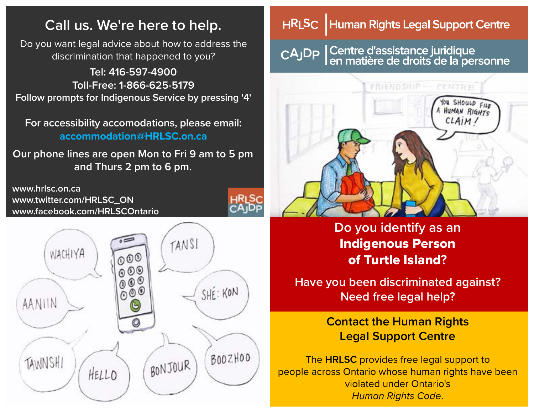## **Call us. We're here to help.**

Do you want legal advice about how to address the discrimination that happened to you?

**Tel: 416-597-4900 Toll-Free: 1-866-625-5179 Follow prompts for Indigenous Service by pressing '4'**

**For accessibility accomodations, please email: accommodation@HRLSC.on.ca**

**Our phone lines are open Mon to Fri 9 am to 5 pm and Thurs 2 pm to 6 pm.**

**www.hrlsc.on.ca www.twitter.com/HRLSC\_ON www.facebook.com/HRLSCOntario**



#### Human Rights Legal Support Centre **HRLSC**

Centre d'assistance juridique<br>Len matière de droits de la personne CAJDP



**Do you identify as an**  Indigenous Person of Turtle Island**?**

**Have you been discriminated against? Need free legal help?**

> **Contact the Human Rights Legal Support Centre**

The **HRLSC** provides free legal support to people across Ontario whose human rights have been violated under Ontario's *Human Rights Code*.